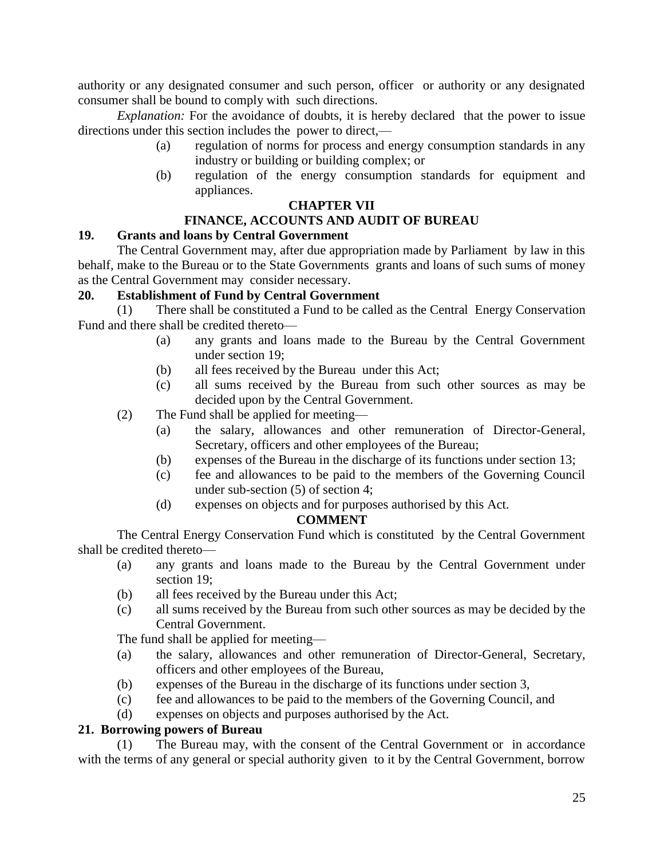authority or any designated consumer and such person, officer or authority or any designated consumer shall be bound to comply with such directions.

*Explanation:* For the avoidance of doubts, it is hereby declared that the power to issue directions under this section includes the power to direct,—

- (a) regulation of norms for process and energy consumption standards in any industry or building or building complex; or
- (b) regulation of the energy consumption standards for equipment and appliances.

#### **CHAPTER VII**

## **FINANCE, ACCOUNTS AND AUDIT OF BUREAU**

## **19. Grants and loans by Central Government**

The Central Government may, after due appropriation made by Parliament by law in this behalf, make to the Bureau or to the State Governments grants and loans of such sums of money as the Central Government may consider necessary.

## **20. Establishment of Fund by Central Government**

(1) There shall be constituted a Fund to be called as the Central Energy Conservation Fund and there shall be credited thereto—

- (a) any grants and loans made to the Bureau by the Central Government under section 19;
- (b) all fees received by the Bureau under this Act;
- (c) all sums received by the Bureau from such other sources as may be decided upon by the Central Government.
- (2) The Fund shall be applied for meeting—
	- (a) the salary, allowances and other remuneration of Director-General, Secretary, officers and other employees of the Bureau;
	- (b) expenses of the Bureau in the discharge of its functions under section 13;
	- (c) fee and allowances to be paid to the members of the Governing Council under sub-section (5) of section 4;
	- (d) expenses on objects and for purposes authorised by this Act.

# **COMMENT**

The Central Energy Conservation Fund which is constituted by the Central Government shall be credited thereto—

- (a) any grants and loans made to the Bureau by the Central Government under section 19;
- (b) all fees received by the Bureau under this Act;
- (c) all sums received by the Bureau from such other sources as may be decided by the Central Government.

The fund shall be applied for meeting—

- (a) the salary, allowances and other remuneration of Director-General, Secretary, officers and other employees of the Bureau,
- (b) expenses of the Bureau in the discharge of its functions under section 3,
- (c) fee and allowances to be paid to the members of the Governing Council, and
- (d) expenses on objects and purposes authorised by the Act.

# **21. Borrowing powers of Bureau**

(1) The Bureau may, with the consent of the Central Government or in accordance with the terms of any general or special authority given to it by the Central Government, borrow